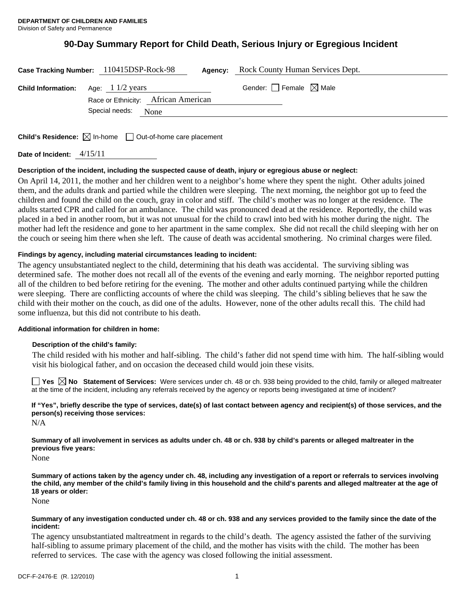# **90-Day Summary Report for Child Death, Serious Injury or Egregious Incident**

|                                                     | Case Tracking Number: 110415DSP-Rock-98<br>Agency: | Rock County Human Services Dept.    |
|-----------------------------------------------------|----------------------------------------------------|-------------------------------------|
| <b>Child Information:</b> Age: $1\frac{1}{2}$ years | Race or Ethnicity: African American                | Gender: $ $   Female $\bowtie$ Male |
|                                                     | Special needs:<br>None                             |                                     |
|                                                     |                                                    |                                     |

**Child's Residence:**  $\boxtimes$  In-home  $\Box$  Out-of-home care placement

**Date of Incident:** 4/15/11

# **Description of the incident, including the suspected cause of death, injury or egregious abuse or neglect:**

On April 14, 2011, the mother and her children went to a neighbor's home where they spent the night. Other adults joined them, and the adults drank and partied while the children were sleeping. The next morning, the neighbor got up to feed the children and found the child on the couch, gray in color and stiff. The child's mother was no longer at the residence. The adults started CPR and called for an ambulance. The child was pronounced dead at the residence. Reportedly, the child was placed in a bed in another room, but it was not unusual for the child to crawl into bed with his mother during the night. The mother had left the residence and gone to her apartment in the same complex. She did not recall the child sleeping with her on the couch or seeing him there when she left. The cause of death was accidental smothering. No criminal charges were filed.

# **Findings by agency, including material circumstances leading to incident:**

The agency unsubstantiated neglect to the child, determining that his death was accidental. The surviving sibling was determined safe. The mother does not recall all of the events of the evening and early morning. The neighbor reported putting all of the children to bed before retiring for the evening. The mother and other adults continued partying while the children were sleeping. There are conflicting accounts of where the child was sleeping. The child's sibling believes that he saw the child with their mother on the couch, as did one of the adults. However, none of the other adults recall this. The child had some influenza, but this did not contribute to his death.

### **Additional information for children in home:**

### **Description of the child's family:**

The child resided with his mother and half-sibling. The child's father did not spend time with him. The half-sibling would visit his biological father, and on occasion the deceased child would join these visits.

**Yes No Statement of Services:** Were services under ch. 48 or ch. 938 being provided to the child, family or alleged maltreater at the time of the incident, including any referrals received by the agency or reports being investigated at time of incident?

**If "Yes", briefly describe the type of services, date(s) of last contact between agency and recipient(s) of those services, and the person(s) receiving those services:**  N/A

**Summary of all involvement in services as adults under ch. 48 or ch. 938 by child's parents or alleged maltreater in the previous five years:** 

None

**Summary of actions taken by the agency under ch. 48, including any investigation of a report or referrals to services involving the child, any member of the child's family living in this household and the child's parents and alleged maltreater at the age of 18 years or older:** 

None

### **Summary of any investigation conducted under ch. 48 or ch. 938 and any services provided to the family since the date of the incident:**

The agency unsubstantiated maltreatment in regards to the child's death. The agency assisted the father of the surviving half-sibling to assume primary placement of the child, and the mother has visits with the child. The mother has been referred to services. The case with the agency was closed following the initial assessment.